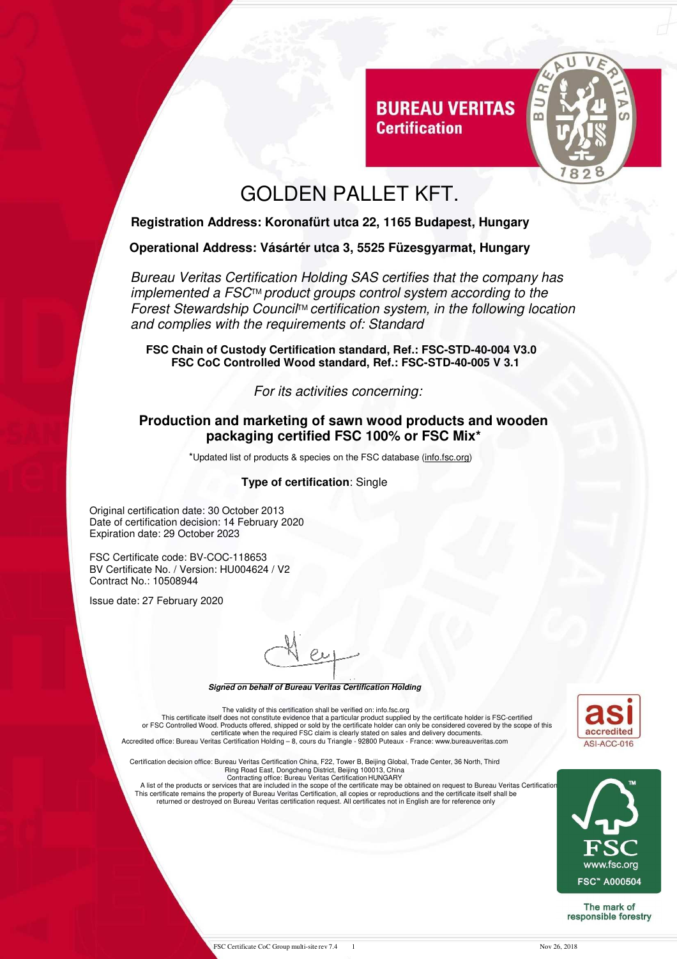

## GOLDEN PALLET KFT.

**Certification** 

### **Registration Address: Koronafürt utca 22, 1165 Budapest, Hungary**

#### **Operational Address: Vásártér utca 3, 5525 Füzesgyarmat, Hungary**

Bureau Veritas Certification Holding SAS certifies that the company has implemented a FSC™ product groups control system according to the Forest Stewardship Council<sup>™</sup> certification system, in the following location and complies with the requirements of: Standard

**FSC Chain of Custody Certification standard, Ref.: FSC-STD-40-004 V3.0 FSC CoC Controlled Wood standard, Ref.: FSC-STD-40-005 V 3.1** 

For its activities concerning:

#### **Production and marketing of sawn wood products and wooden packaging certified FSC 100% or FSC Mix\***

\*Updated list of products & species on the FSC database (info.fsc.org)

#### **Type of certification**: Single

Original certification date: 30 October 2013 Date of certification decision: 14 February 2020 Expiration date: 29 October 2023

FSC Certificate code: BV-COC-118653 BV Certificate No. / Version: HU004624 / V2 Contract No.: 10508944

Issue date: 27 February 2020

**Signed on behalf of Bureau Veritas Certification Holding** 

The validity of this certification shall be verified on: info.fsc.org<br>This certificate itself does not constitute evidence that a particular product supplied by the certificate holder is FSC-certified<br>or FSC Controlled Woo

Certification decision office: Bureau Veritas Certification China, F22, Tower B, Beijing Global, Trade Center, 36 North, Third

Ring Road East, Dongcheng District, Beijing 100013, China<br>Contracting office: Bureau Veritas Certification HUNGARY<br>A list of the products or services that are included in the scope of the certificate may be obtained on req returned or destroyed on Bureau Veritas certification request. All certificates not in English are for reference only





The mark of responsible forestry